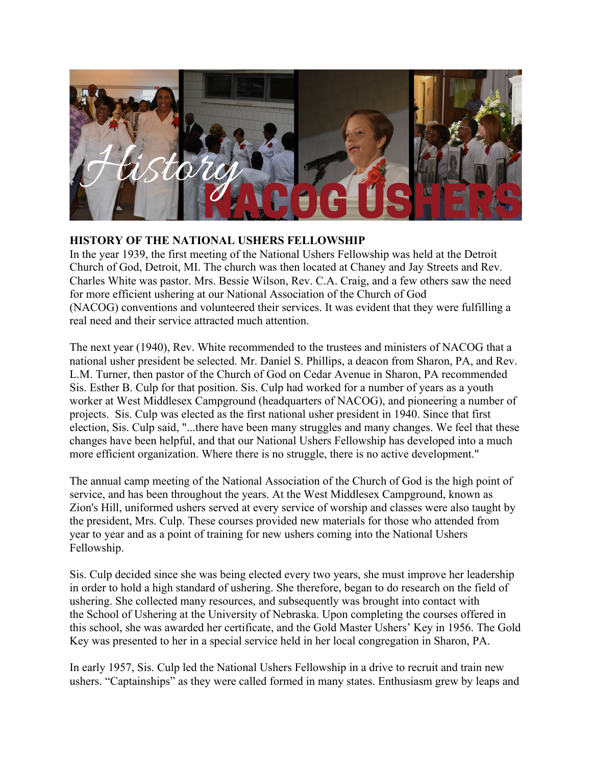

## **HISTORY OF THE NATIONAL USHERS FELLOWSHIP**

In the year 1939, the first meeting of the National Ushers Fellowship was held at the Detroit Church of God, Detroit, MI. The church was then located at Chaney and Jay Streets and Rev. Charles White was pastor. Mrs. Bessie Wilson, Rev. C.A. Craig, and a few others saw the need for more efficient ushering at our National Association of the Church of God (NACOG) conventions and volunteered their services. It was evident that they were fulfilling a real need and their service attracted much attention.

The next year (1940), Rev. White recommended to the trustees and ministers of NACOG that a national usher president be selected. Mr. Daniel S. Phillips, a deacon from Sharon, PA, and Rev. L.M. Turner, then pastor of the Church of God on Cedar Avenue in Sharon, PA recommended Sis. Esther B. Culp for that position. Sis. Culp had worked for a number of years as a youth worker at West Middlesex Campground (headquarters of NACOG), and pioneering a number of projects. Sis. Culp was elected as the first national usher president in 1940. Since that first election, Sis. Culp said, "...there have been many struggles and many changes. We feel that these changes have been helpful, and that our National Ushers Fellowship has developed into a much more efficient organization. Where there is no struggle, there is no active development."

The annual camp meeting of the National Association of the Church of God is the high point of service, and has been throughout the years. At the West Middlesex Campground, known as Zion's Hill, uniformed ushers served at every service of worship and classes were also taught by the president, Mrs. Culp. These courses provided new materials for those who attended from year to year and as a point of training for new ushers coming into the National Ushers Fellowship.

Sis. Culp decided since she was being elected every two years, she must improve her leadership in order to hold a high standard of ushering. She therefore, began to do research on the field of ushering. She collected many resources, and subsequently was brought into contact with the School of Ushering at the University of Nebraska. Upon completing the courses offered in this school, she was awarded her certificate, and the Gold Master Ushers' Key in 1956. The Gold Key was presented to her in a special service held in her local congregation in Sharon, PA.

In early 1957, Sis. Culp led the National Ushers Fellowship in a drive to recruit and train new ushers. "Captainships" as they were called formed in many states. Enthusiasm grew by leaps and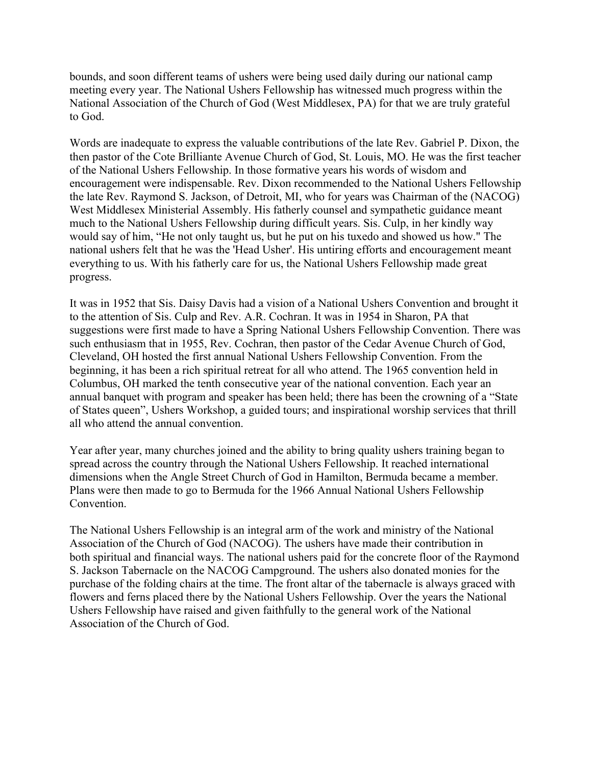bounds, and soon different teams of ushers were being used daily during our national camp meeting every year. The National Ushers Fellowship has witnessed much progress within the National Association of the Church of God (West Middlesex, PA) for that we are truly grateful to God.

Words are inadequate to express the valuable contributions of the late Rev. Gabriel P. Dixon, the then pastor of the Cote Brilliante Avenue Church of God, St. Louis, MO. He was the first teacher of the National Ushers Fellowship. In those formative years his words of wisdom and encouragement were indispensable. Rev. Dixon recommended to the National Ushers Fellowship the late Rev. Raymond S. Jackson, of Detroit, MI, who for years was Chairman of the (NACOG) West Middlesex Ministerial Assembly. His fatherly counsel and sympathetic guidance meant much to the National Ushers Fellowship during difficult years. Sis. Culp, in her kindly way would say of him, "He not only taught us, but he put on his tuxedo and showed us how." The national ushers felt that he was the 'Head Usher'. His untiring efforts and encouragement meant everything to us. With his fatherly care for us, the National Ushers Fellowship made great progress.

It was in 1952 that Sis. Daisy Davis had a vision of a National Ushers Convention and brought it to the attention of Sis. Culp and Rev. A.R. Cochran. It was in 1954 in Sharon, PA that suggestions were first made to have a Spring National Ushers Fellowship Convention. There was such enthusiasm that in 1955, Rev. Cochran, then pastor of the Cedar Avenue Church of God, Cleveland, OH hosted the first annual National Ushers Fellowship Convention. From the beginning, it has been a rich spiritual retreat for all who attend. The 1965 convention held in Columbus, OH marked the tenth consecutive year of the national convention. Each year an annual banquet with program and speaker has been held; there has been the crowning of a "State of States queen", Ushers Workshop, a guided tours; and inspirational worship services that thrill all who attend the annual convention.

Year after year, many churches joined and the ability to bring quality ushers training began to spread across the country through the National Ushers Fellowship. It reached international dimensions when the Angle Street Church of God in Hamilton, Bermuda became a member. Plans were then made to go to Bermuda for the 1966 Annual National Ushers Fellowship Convention.

The National Ushers Fellowship is an integral arm of the work and ministry of the National Association of the Church of God (NACOG). The ushers have made their contribution in both spiritual and financial ways. The national ushers paid for the concrete floor of the Raymond S. Jackson Tabernacle on the NACOG Campground. The ushers also donated monies for the purchase of the folding chairs at the time. The front altar of the tabernacle is always graced with flowers and ferns placed there by the National Ushers Fellowship. Over the years the National Ushers Fellowship have raised and given faithfully to the general work of the National Association of the Church of God.